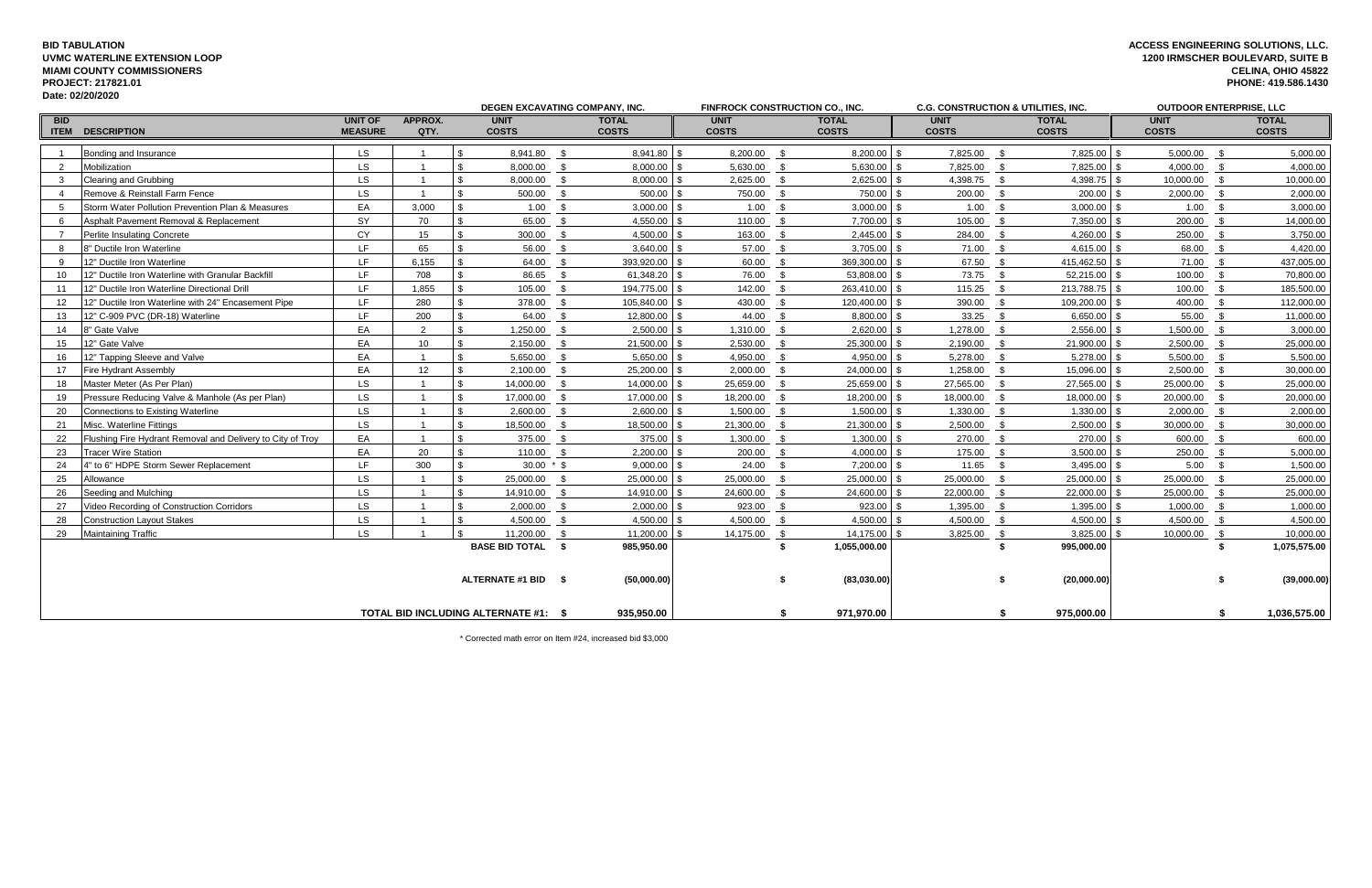#### **BID TABULATION UVMC WATERLINE EXTENSION LOOP MIAMI COUNTY COMMISSIONERS PROJECT: 217821.01 Date: 02/20/2020**

| <b>UNIT OF</b><br><b>APPROX.</b><br><b>UNIT</b><br><b>UNIT</b><br><b>BID</b><br><b>TOTAL</b><br><b>UNIT</b><br><b>TOTAL</b><br><b>TOTAL</b><br><b>UNIT</b><br><b>DESCRIPTION</b><br><b>COSTS</b><br><b>COSTS</b><br><b>COSTS</b><br><b>ITEM</b><br><b>MEASURE</b><br>QTY.<br><b>COSTS</b><br><b>COSTS</b><br><b>COSTS</b><br><b>COSTS</b><br>8,941.80<br>$8,200.00$ \$<br>7,825.00<br>LS.<br>8,941.80 \$<br>8,200.00 \$<br>7,825.00 \$<br>Bonding and Insurance<br>-\$<br>LS.<br>7,825.00<br>Mobilization<br>\$<br>8,000.00 \$<br>8,000.00<br>5,630.00 \$<br>$5,630.00$ \$<br>7,825.00 \$<br>2<br>LS.<br>Clearing and Grubbing<br>\$<br>8,000.00<br>$2,625.00$ \$<br>4,398.75 \$<br>4,398.75<br>$\mathbf{3}$<br>$\overline{1}$<br>8,000.00 \$<br>$2,625.00$ \$<br>.\$<br>LS.<br>750.00 \$<br>200.00<br>Remove & Reinstall Farm Fence<br>500.00<br>750.00<br>200.00 \$<br>500.00<br>- \$<br>$\overline{4}$<br>$\overline{1}$<br><b>S</b> | <b>TOTAL</b><br><b>COSTS</b><br>5,000.00<br>$5,000.00$ \$<br>4,000.00<br>$4,000.00$ \$<br>10,000.00<br>10,000.00<br>$^{\circ}$<br>2,000.00<br>2,000.00<br>- \$<br>1.00<br>3,000.00<br>- S |
|-----------------------------------------------------------------------------------------------------------------------------------------------------------------------------------------------------------------------------------------------------------------------------------------------------------------------------------------------------------------------------------------------------------------------------------------------------------------------------------------------------------------------------------------------------------------------------------------------------------------------------------------------------------------------------------------------------------------------------------------------------------------------------------------------------------------------------------------------------------------------------------------------------------------------------------------|-------------------------------------------------------------------------------------------------------------------------------------------------------------------------------------------|
|                                                                                                                                                                                                                                                                                                                                                                                                                                                                                                                                                                                                                                                                                                                                                                                                                                                                                                                                         |                                                                                                                                                                                           |
|                                                                                                                                                                                                                                                                                                                                                                                                                                                                                                                                                                                                                                                                                                                                                                                                                                                                                                                                         |                                                                                                                                                                                           |
|                                                                                                                                                                                                                                                                                                                                                                                                                                                                                                                                                                                                                                                                                                                                                                                                                                                                                                                                         |                                                                                                                                                                                           |
|                                                                                                                                                                                                                                                                                                                                                                                                                                                                                                                                                                                                                                                                                                                                                                                                                                                                                                                                         |                                                                                                                                                                                           |
|                                                                                                                                                                                                                                                                                                                                                                                                                                                                                                                                                                                                                                                                                                                                                                                                                                                                                                                                         |                                                                                                                                                                                           |
|                                                                                                                                                                                                                                                                                                                                                                                                                                                                                                                                                                                                                                                                                                                                                                                                                                                                                                                                         |                                                                                                                                                                                           |
| EA<br>$3,000.00$ \$<br>3,000.00<br>Storm Water Pollution Prevention Plan & Measures<br>3,000<br>1.00<br>3,000.00<br>1.00<br>$1.00$ \$<br>-5<br>- \$<br>- S                                                                                                                                                                                                                                                                                                                                                                                                                                                                                                                                                                                                                                                                                                                                                                              |                                                                                                                                                                                           |
| SY<br>70<br>7,700.00 \$<br>7,350.00<br>Asphalt Pavement Removal & Replacement<br>65.00<br>4,550.00<br>110.00<br>105.00 \$<br>6<br>- \$                                                                                                                                                                                                                                                                                                                                                                                                                                                                                                                                                                                                                                                                                                                                                                                                  | 200.00<br>14,000.00<br>- \$                                                                                                                                                               |
| CY<br>$2,445.00$ \$<br>4,260.00<br>15<br>300.00<br>4,500.00<br>163.00<br>284.00 \$<br>$\overline{7}$<br>Perlite Insulating Concrete<br><b>S</b><br>- \$                                                                                                                                                                                                                                                                                                                                                                                                                                                                                                                                                                                                                                                                                                                                                                                 | 3,750.00<br>250.00<br>- \$                                                                                                                                                                |
| LF.<br>65<br>$3,705.00$ \$<br>4,615.00<br>8" Ductile Iron Waterline<br>56.00<br>3,640.00<br>57.00 \$<br>71.00 \$<br>-8                                                                                                                                                                                                                                                                                                                                                                                                                                                                                                                                                                                                                                                                                                                                                                                                                  | 68.00<br>4,420.00<br>$^{\circ}$                                                                                                                                                           |
| LF.<br>6,155<br>64.00<br>393,920.00<br>369,300.00 \$<br>67.50 \$<br>415,462.50<br>12" Ductile Iron Waterline<br>60.00<br>-9<br>- \$                                                                                                                                                                                                                                                                                                                                                                                                                                                                                                                                                                                                                                                                                                                                                                                                     | 437,005.00<br>71.00<br><b>S</b>                                                                                                                                                           |
| LF.<br>53,808.00 \$<br>708<br>86.65<br>61,348.20 $\frac{1}{9}$<br>76.00<br>73.75 \$<br>52,215.00<br>12" Ductile Iron Waterline with Granular Backfill<br>- S<br>10                                                                                                                                                                                                                                                                                                                                                                                                                                                                                                                                                                                                                                                                                                                                                                      | 100.00<br>70,800.00<br>$^{\circ}$                                                                                                                                                         |
| LF.<br>1,855<br>194,775.00<br>263,410.00 \$<br>213,788.75<br>12" Ductile Iron Waterline Directional Drill<br>105.00<br>142.00<br>115.25 \$<br>11<br>\$                                                                                                                                                                                                                                                                                                                                                                                                                                                                                                                                                                                                                                                                                                                                                                                  | 185,500.00<br>100.00<br><b>S</b>                                                                                                                                                          |
| LF.<br>120,400.00 \$<br>12" Ductile Iron Waterline with 24" Encasement Pipe<br>280<br>105,840.00<br>430.00<br>390.00 \$<br>109,200.00<br>12<br>\$<br>378.00 \$<br>\$                                                                                                                                                                                                                                                                                                                                                                                                                                                                                                                                                                                                                                                                                                                                                                    | 400.00<br>$\mathbf{s}$<br>112,000.00                                                                                                                                                      |
| LF.<br>200<br>12,800.00<br>44.00<br>8,800.00 \$<br>$33.25$ \$<br>6,650.00<br>12" C-909 PVC (DR-18) Waterline<br>-\$<br>64.00 \$<br>- \$<br>13                                                                                                                                                                                                                                                                                                                                                                                                                                                                                                                                                                                                                                                                                                                                                                                           | 55.00<br>$\mathbb{S}$<br>11,000.00                                                                                                                                                        |
| EA<br>2<br>$2,620.00$ \$<br>2,556.00<br>1,250.00<br>2,500.00<br>1,310.00<br>1,278.00 \$<br>14<br>8" Gate Valve<br>- \$<br>\$                                                                                                                                                                                                                                                                                                                                                                                                                                                                                                                                                                                                                                                                                                                                                                                                            | 3,000.00<br>1,500.00<br><b>S</b>                                                                                                                                                          |
| EA<br>10<br>21,500.00<br>25,300.00<br>2,190.00<br>21,900.00<br>12" Gate Valve<br>2,150.00<br>2,530.00<br>\$<br>15<br>- \$<br>- \$                                                                                                                                                                                                                                                                                                                                                                                                                                                                                                                                                                                                                                                                                                                                                                                                       | 25,000.00<br>2,500.00<br><b>S</b>                                                                                                                                                         |
| EA<br>4,950.00 \$<br>12" Tapping Sleeve and Valve<br>5,650.00<br>5,278.00 \$<br>5,278.00<br>16<br>5,650.00<br>- \$<br>4,950.00<br>- \$<br>$\overline{1}$                                                                                                                                                                                                                                                                                                                                                                                                                                                                                                                                                                                                                                                                                                                                                                                | 5,500.00<br>5,500.00<br><b>S</b>                                                                                                                                                          |
| EA<br>12<br>25,200.00<br>24,000.00<br>15,096.00<br><b>Fire Hydrant Assembly</b><br>$\mathfrak{L}$<br>2,100.00<br>2,000.00<br>1,258.00 \$<br>17<br>- \$<br><b>S</b>                                                                                                                                                                                                                                                                                                                                                                                                                                                                                                                                                                                                                                                                                                                                                                      | 30,000.00<br>2,500.00<br><b>S</b>                                                                                                                                                         |
| LS.<br>Master Meter (As Per Plan)<br>\$<br>14,000.00<br>25,659.00 \$<br>27,565.00<br>18<br>14,000.00<br>25,659.00<br>27,565.00 \$<br>- \$<br>- S                                                                                                                                                                                                                                                                                                                                                                                                                                                                                                                                                                                                                                                                                                                                                                                        | 25,000.00<br>$^{\circ}$<br>25,000.00                                                                                                                                                      |
| LS.<br>Pressure Reducing Valve & Manhole (As per Plan)<br>\$<br>17.000.00<br>18,200.00 \$<br>18,000.00 \$<br>18.000.00<br>19<br>17,000.00 \$<br>18,200.00 \$                                                                                                                                                                                                                                                                                                                                                                                                                                                                                                                                                                                                                                                                                                                                                                            | 20,000,00<br>20,000.00<br>- S                                                                                                                                                             |
| LS.<br>\$<br>2,600.00<br>$1,500.00$ \$<br>1,330.00 \$<br>1,330.00<br>20<br>Connections to Existing Waterline<br>$\overline{1}$<br>2,600.00 \$<br>$1,500.00$ \$                                                                                                                                                                                                                                                                                                                                                                                                                                                                                                                                                                                                                                                                                                                                                                          | 2,000.00<br>2,000.00<br>- S                                                                                                                                                               |
| LS.<br>Misc. Waterline Fittings<br>18,500.00<br>21,300.00 \$<br>2,500.00<br>21<br>\$<br>18,500.00<br>21,300.00<br>2,500.00 \$<br>$\overline{1}$<br>- \$<br>$\mathcal{S}$                                                                                                                                                                                                                                                                                                                                                                                                                                                                                                                                                                                                                                                                                                                                                                | 30,000.00<br>30,000.00<br>. ድ                                                                                                                                                             |
| EA<br>Flushing Fire Hydrant Removal and Delivery to City of Troy<br>375.00<br>$1,300.00$ \$<br>22<br>375.00<br>1,300.00<br>- \$<br>270.00 \$<br>270.00<br>$\overline{1}$<br>- S                                                                                                                                                                                                                                                                                                                                                                                                                                                                                                                                                                                                                                                                                                                                                         | 600.00<br>600.00<br>- \$                                                                                                                                                                  |
| EA<br>20<br>23<br><b>Tracer Wire Station</b><br>2,200.00<br>$4,000.00$ \$<br>175.00 \$<br>3,500.00<br>110.00<br>200.00<br>\$<br>- S                                                                                                                                                                                                                                                                                                                                                                                                                                                                                                                                                                                                                                                                                                                                                                                                     | 5,000.00<br>250.00<br>- \$                                                                                                                                                                |
| LF.<br>24<br>4" to 6" HDPE Storm Sewer Replacement<br>300<br>9,000.00<br>24.00<br>7,200.00 \$<br>$11.65$ \$<br>3,495.00<br>$30.00 * $$<br>- \$                                                                                                                                                                                                                                                                                                                                                                                                                                                                                                                                                                                                                                                                                                                                                                                          | 5.00<br>1,500.00<br>- \$                                                                                                                                                                  |
| LS.<br>Allowance<br>25,000.00<br>25,000.00 \$<br>25,000.00 \$<br>25,000.00<br>25<br>25,000.00<br>25,000.00<br>- \$<br>\$                                                                                                                                                                                                                                                                                                                                                                                                                                                                                                                                                                                                                                                                                                                                                                                                                | 25,000.00<br>25,000.00<br><b>S</b>                                                                                                                                                        |
| LS.<br>24,600.00<br>Seeding and Mulching<br>14,910.00<br>14,910.00<br>24,600.00<br>22,000.00 \$<br>22,000.00<br>26<br>\$                                                                                                                                                                                                                                                                                                                                                                                                                                                                                                                                                                                                                                                                                                                                                                                                                | 25,000.00<br>25,000.00<br><b>S</b>                                                                                                                                                        |
| LS.<br>923.00<br>Video Recording of Construction Corridors<br>\$<br>1,395.00<br>27<br>2,000.00<br>923.00<br>1,395.00 \$<br>2,000.00<br>- \$                                                                                                                                                                                                                                                                                                                                                                                                                                                                                                                                                                                                                                                                                                                                                                                             | $^{\circ}$<br>1,000.00<br>1,000.00                                                                                                                                                        |
| LS.<br>\$<br>4,500.00<br>4,500.00 \$<br>4,500.00<br>28<br><b>Construction Layout Stakes</b><br>4,500.00<br>4,500.00<br>4,500.00<br>- \$<br>$\mathcal{S}$                                                                                                                                                                                                                                                                                                                                                                                                                                                                                                                                                                                                                                                                                                                                                                                | 4,500.00<br>4,500.00<br><b>S</b>                                                                                                                                                          |
| LS.<br>14,175.00 \$<br><b>Maintaining Traffic</b><br>\$<br>11,200.00<br>14,175.00<br>3,825.00<br>3,825.00<br>29<br>11,200.00<br><b>S</b><br>\$<br><b>S</b>                                                                                                                                                                                                                                                                                                                                                                                                                                                                                                                                                                                                                                                                                                                                                                              | $\mathbf{s}$<br>10,000.00<br>10,000.00                                                                                                                                                    |
| <b>BASE BID TOTAL \$</b><br>\$<br>1,055,000.00<br>995,000.00<br>985,950.00                                                                                                                                                                                                                                                                                                                                                                                                                                                                                                                                                                                                                                                                                                                                                                                                                                                              | \$<br>1,075,575.00                                                                                                                                                                        |
|                                                                                                                                                                                                                                                                                                                                                                                                                                                                                                                                                                                                                                                                                                                                                                                                                                                                                                                                         |                                                                                                                                                                                           |
| ALTERNATE #1 BID \$<br>(83,030.00)<br>(20,000.00)<br>(50,000.00)                                                                                                                                                                                                                                                                                                                                                                                                                                                                                                                                                                                                                                                                                                                                                                                                                                                                        | (39,000.00)                                                                                                                                                                               |
|                                                                                                                                                                                                                                                                                                                                                                                                                                                                                                                                                                                                                                                                                                                                                                                                                                                                                                                                         |                                                                                                                                                                                           |
| 935,950.00<br>971,970.00<br>975,000.00<br>TOTAL BID INCLUDING ALTERNATE #1: \$                                                                                                                                                                                                                                                                                                                                                                                                                                                                                                                                                                                                                                                                                                                                                                                                                                                          | 1,036,575.00                                                                                                                                                                              |

\* Corrected math error on Item #24, increased bid \$3,000

## **PHONE: 419.586.1430 CELINA, OHIO 45822 1200 IRMSCHER BOULEVARD, SUITE B ACCESS ENGINEERING SOLUTIONS, LLC.**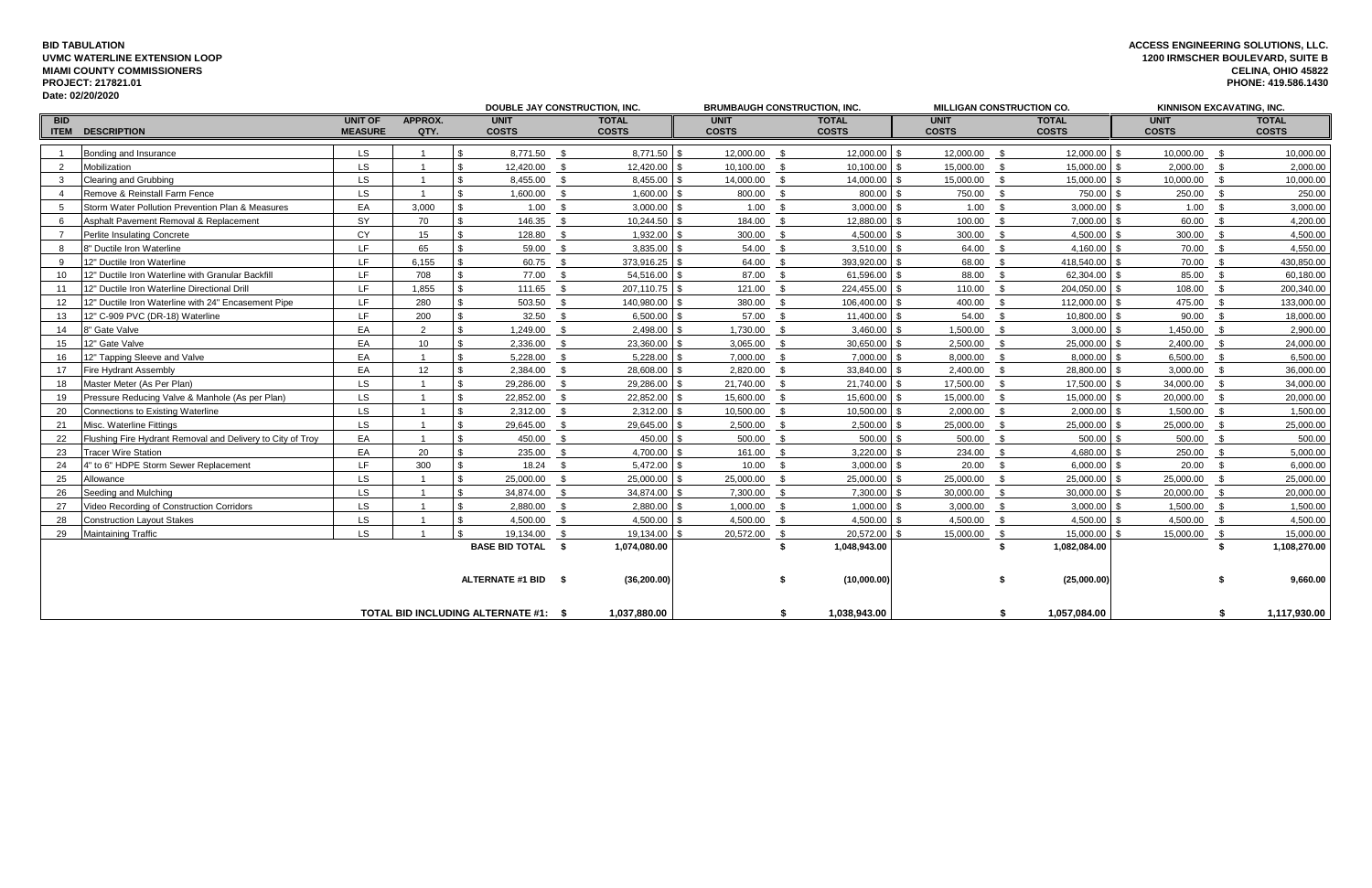## **BID TABULATION UVMC WATERLINE EXTENSION LOOP MIAMI COUNTY COMMISSIONERS PROJECT: 217821.01 Date: 02/20/2020**

|                                      |                                                            |                                  |                         |                             | <b>DOUBLE JAY CONSTRUCTION, INC.</b> |                              |                             | <b>BRUMBAUGH CONSTRUCTION, INC.</b> |                              |                             |               | <b>MILLIGAN CONSTRUCTION CO.</b> | <b>KINNISON EXCAVATING, INC.</b> |              |               |                              |
|--------------------------------------|------------------------------------------------------------|----------------------------------|-------------------------|-----------------------------|--------------------------------------|------------------------------|-----------------------------|-------------------------------------|------------------------------|-----------------------------|---------------|----------------------------------|----------------------------------|--------------|---------------|------------------------------|
| <b>BID</b>                           | <b>ITEM DESCRIPTION</b>                                    | <b>UNIT OF</b><br><b>MEASURE</b> | APPROX.<br>QTY.         | <b>UNIT</b><br><b>COSTS</b> |                                      | <b>TOTAL</b><br><b>COSTS</b> | <b>UNIT</b><br><b>COSTS</b> |                                     | <b>TOTAL</b><br><b>COSTS</b> | <b>UNIT</b><br><b>COSTS</b> |               | <b>TOTAL</b><br><b>COSTS</b>     | <b>UNIT</b><br><b>COSTS</b>      |              |               | <b>TOTAL</b><br><b>COSTS</b> |
|                                      | Bonding and Insurance                                      | LS.                              | $\overline{1}$          | 8,771.50 \$<br>\$           |                                      |                              | 12.000.00 \$                |                                     | $12,000.00$ \ \$             | 12,000.00 \$                |               | $12,000.00$ \ \$                 |                                  | 10.000.00 \$ |               | 10.000.00                    |
| $\overline{2}$                       | Mobilization                                               | LS.                              | $\overline{\mathbf{1}}$ | 12,420.00                   |                                      | 12,420.00                    | 10,100.00                   | <b>S</b>                            | 10,100.00 \$                 | 15,000.00 \$                |               | 15,000.00                        | l \$                             | 2,000.00     | - \$          | 2,000.00                     |
| 3                                    | Clearing and Grubbing                                      | LS.                              | $\overline{1}$          | 8,455.00 \$                 |                                      | 8,455.00                     | 14,000.00                   | <b>S</b>                            | 14,000.00 \$                 | 15,000.00 \$                |               | 15,000.00 \$                     |                                  | 10,000.00    | - \$          | 10,000.00                    |
| $\overline{4}$                       | Remove & Reinstall Farm Fence                              | LS.                              | - 1                     | 1,600.00                    | - S                                  | 1,600.00                     | 800.00                      | \$                                  | $800.00$ \ \$                | 750.00 \$                   |               | 750.00 \$                        |                                  | 250.00       | - \$          | 250.00                       |
| -5                                   | Storm Water Pollution Prevention Plan & Measures           | EA                               | 3,000                   | 1.00                        | - \$                                 | 3,000.00                     | 1.00                        | - \$                                | $3,000.00$ \$                | $1.00$ \$                   |               | $3,000.00$ \$                    |                                  | 1.00         | - \$          | 3,000.00                     |
| -6                                   | Asphalt Pavement Removal & Replacement                     | SY                               | 70                      | 146.35                      |                                      | 10,244.50                    | 184.00                      | - \$                                | 12,880.00 \$                 | 100.00                      |               | 7,000.00                         |                                  | 60.00        | - \$          | 4,200.00                     |
| $\overline{7}$                       | Perlite Insulating Concrete                                | CY                               | 15                      | 128.80                      |                                      | 1,932.00                     | 300.00                      | <b>S</b>                            | $4,500.00$ \$                | 300.00                      | - \$          | 4,500.00 $\vert$ \$              |                                  | 300.00       | - \$          | 4,500.00                     |
| -8                                   | 8" Ductile Iron Waterline                                  | LF.                              | 65                      | 59.00                       |                                      | 3,835.00                     | 54.00                       | <b>S</b>                            | $3,510.00$ \$                | 64.00                       | - \$          | 4,160.00                         | l \$                             | 70.00        | - \$          | 4,550.00                     |
| -9                                   | 12" Ductile Iron Waterline                                 | LF.                              | 6,155                   | 60.75                       |                                      | 373,916.25                   | 64.00                       | \$                                  | 393,920.00 \$                | 68.00                       |               | 418,540.00                       |                                  | 70.00        | - \$          | 430,850.00                   |
| 10                                   | 12" Ductile Iron Waterline with Granular Backfill          | LF                               | 708                     | 77.00                       |                                      | 54,516.00                    | 87.00                       | $^{\circ}$                          | 61,596.00 $\frac{1}{3}$      | 88.00                       | $\mathfrak s$ | 62,304.00 $\frac{1}{9}$          |                                  | 85.00        | - \$          | 60,180.00                    |
| 11                                   | 12" Ductile Iron Waterline Directional Drill               | LF.                              | 1,855                   | 111.65                      |                                      | 207,110.75                   | 121.00 \$                   |                                     | 224,455.00 \$                | 110.00 \$                   |               | 204,050.00 \$                    |                                  | 108.00       | - \$          | 200,340.00                   |
| 12                                   | 12" Ductile Iron Waterline with 24" Encasement Pipe        | LF.                              | 280                     | 503.50<br>\$.               |                                      | 140,980.00                   | 380.00 \$                   |                                     | 106,400.00 \$                | 400.00 \$                   |               | 112,000.00 \$                    |                                  | 475.00       | - \$          | 133,000.00                   |
| 13                                   | 12" C-909 PVC (DR-18) Waterline                            | LF.                              | 200                     | 32.50<br>\$                 | - \$                                 | 6,500.00                     | 57.00 \$                    |                                     | $11,400.00$ \$               | 54.00 \$                    |               | 10,800.00 \$                     |                                  | 90.00 \$     |               | 18,000.00                    |
| 14                                   | 8" Gate Valve                                              | EA                               | 2                       | 1,249.00                    | - \$                                 | 2,498.00                     | 1,730.00                    | - \$                                | $3,460.00$ \$                | 1,500.00                    | - \$          | $3,000.00$ \$                    |                                  | 1,450.00     | $^{\circ}$    | 2,900.00                     |
| 15                                   | 12" Gate Valve                                             | EA                               | 10                      | 2,336.00                    | - \$                                 | 23,360.00                    | 3,065.00                    | \$                                  | $30,650.00$ \$               | 2,500.00                    | <b>S</b>      | 25,000.00 \$                     |                                  | 2,400.00     | $\mathcal{S}$ | 24,000.00                    |
| 16                                   | 12" Tapping Sleeve and Valve                               | EA                               | $\overline{1}$          | 5,228.00                    | - S                                  | 5,228.00                     | 7,000.00                    | - \$                                | $7,000.00$ \$                | 8,000.00                    | - \$          | $8,000.00$ \$                    |                                  | 6,500.00     | $^{\circ}$    | 6,500.00                     |
| 17                                   | <b>Fire Hydrant Assembly</b>                               | EA                               | 12                      | 2,384.00                    | <b>S</b>                             | 28,608.00                    | 2,820.00                    | $^{\circ}$                          | 33,840.00 \$                 | $2,400.00$ \$               |               | 28,800.00 \$                     |                                  | 3,000.00     | $^{\circ}$    | 36,000.00                    |
| 18                                   | Master Meter (As Per Plan)                                 | <b>LS</b>                        | $\overline{1}$          | 29,286.00                   | - \$                                 | 29,286.00                    | 21,740.00                   | <b>S</b>                            | 21,740.00 \$                 | 17,500.00                   | - \$          | 17,500.00                        |                                  | 34,000.00    | $^{\circ}$    | 34,000.00                    |
| 19                                   | Pressure Reducing Valve & Manhole (As per Plan)            | LS.                              | $\overline{1}$          | 22,852.00                   | - \$                                 | 22,852.00                    | 15,600.00                   | $^{\circ}$                          | $15,600.00$ \$               | 15,000.00                   | - \$          | 15,000.00                        |                                  | 20,000.00    | <b>S</b>      | 20,000.00                    |
| 20                                   | <b>Connections to Existing Waterline</b>                   | LS.                              | $\overline{1}$          | 2,312.00                    | - \$                                 | 2,312.00                     | 10,500.00                   | $\mathbb{S}$                        | $10,500.00$ \$               | 2,000.00                    | <b>S</b>      | 2,000.00                         |                                  | 1,500.00 \$  |               | 1.500.00                     |
| 21                                   | Misc. Waterline Fittings                                   | <b>LS</b>                        | $\overline{\mathbf{1}}$ | 29,645.00                   |                                      | 29,645.00                    | 2,500.00                    | <b>S</b>                            | $2,500.00$ \$                | 25,000.00                   | -\$           | 25,000.00                        |                                  | 25,000.00    | - \$          | 25,000.00                    |
| 22                                   | Flushing Fire Hydrant Removal and Delivery to City of Troy | EA                               | $\overline{\mathbf{1}}$ | 450.00                      |                                      | 450.00                       | 500.00                      | $^{\circ}$                          | $500.00$ \$                  | 500.00                      | - \$          | $500.00$ \ \$                    |                                  | 500.00       | - \$          | 500.00                       |
| 23                                   | <b>Tracer Wire Station</b>                                 | EA                               | 20                      | 235.00                      |                                      | 4,700.00                     | 161.00                      | - \$                                | $3,220.00$ \$                | 234.00                      |               | 4,680.00                         |                                  | 250.00       | - \$          | 5,000.00                     |
| 24                                   | 4" to 6" HDPE Storm Sewer Replacement                      | LF.                              | 300                     | $18.24$ \$                  |                                      | 5,472.00                     | 10.00                       | - \$                                | $3,000.00$ \$                | 20.00                       | - \$          | 6,000.00                         |                                  | 20.00 \$     |               | 6,000.00                     |
| 25                                   | Allowance                                                  | LS.                              |                         | 25,000.00 \$                |                                      | 25,000.00                    | 25,000.00 \$                |                                     | $25,000.00$ \$               | 25,000.00 \$                |               | 25,000.00                        | l \$                             | 25,000.00 \$ |               | 25,000.00                    |
| 26                                   | Seeding and Mulching                                       | LS.                              |                         | 34,874.00 \$                |                                      | 34,874.00                    | 7,300.00 \$                 |                                     | $7,300.00$ \$                | 30,000.00 \$                |               | 30,000.00                        |                                  | 20,000.00 \$ |               | 20,000.00                    |
| 27                                   | Video Recording of Construction Corridors                  | LS.                              | $\overline{1}$          | 2,880.00 \$                 |                                      | 2,880.00                     | $1,000.00$ \$               |                                     | $1,000.00$ \$                | $3,000.00$ \$               |               | $3,000.00$ \$                    |                                  | 1,500.00     | $^{\circ}$    | 1,500.00                     |
| 28                                   | <b>Construction Layout Stakes</b>                          | LS.                              | $\overline{1}$          | 4,500.00                    | - S                                  | 4,500.00                     | 4,500.00                    | - \$                                | 4,500.00 \$                  | 4,500.00                    | - \$          | $4,500.00$ \$                    |                                  | 4,500.00     | - \$          | 4,500.00                     |
| 29                                   | <b>Maintaining Traffic</b>                                 | LS.                              |                         | 19,134.00 \$                |                                      | 19,134.00                    | 20,572.00                   | \$                                  | 20,572.00 \$                 | 15,000.00                   | - \$          | 15,000.00                        |                                  | 15,000.00    | - \$          | 15,000.00                    |
| <b>BASE BID TOTAL \$</b>             |                                                            |                                  |                         |                             | 1,074,080.00                         |                              | \$                          | 1,048,943.00                        |                              | - \$                        | 1,082,084.00  |                                  |                                  | \$           | 1,108,270.00  |                              |
|                                      | ALTERNATE #1 BID \$                                        |                                  |                         |                             | (36, 200.00)                         |                              |                             | (10,000.00)                         |                              |                             | (25,000.00)   |                                  |                                  |              | 9,660.00      |                              |
| TOTAL BID INCLUDING ALTERNATE #1: \$ |                                                            |                                  |                         |                             | 1,037,880.00                         |                              | S.                          | 1,038,943.00                        |                              |                             | 1,057,084.00  |                                  |                                  | S            | 1,117,930.00  |                              |

## **CELINA, OHIO 45822 PHONE: 419.586.1430 ACCESS ENGINEERING SOLUTIONS, LLC. 1200 IRMSCHER BOULEVARD, SUITE B**